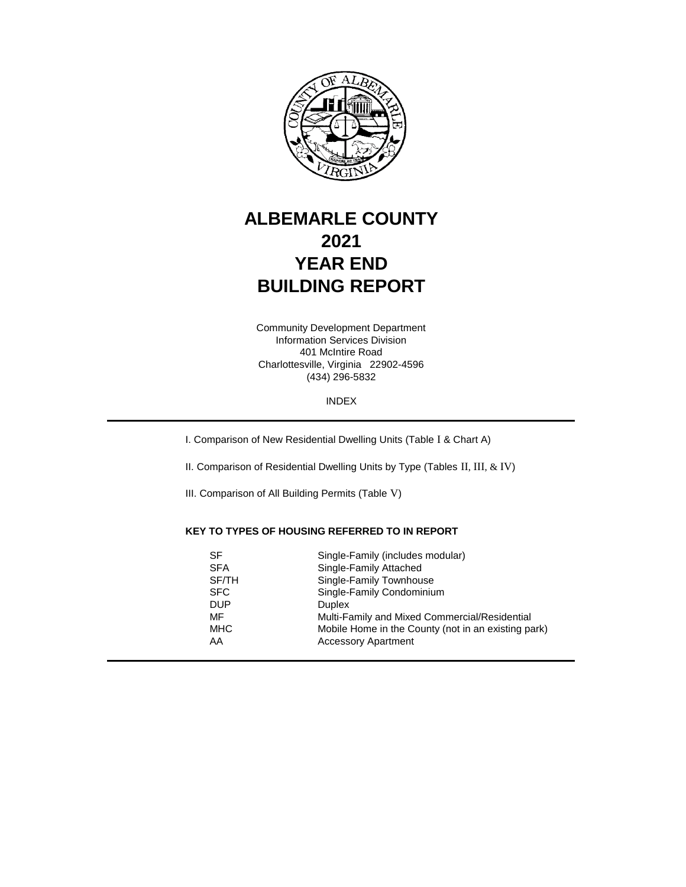

# **ALBEMARLE COUNTY 2021 YEAR END BUILDING REPORT**

401 McIntire Road Charlottesville, Virginia 22902-4596 (434) 296-5832 Information Services Division Community Development Department

INDEX

I. Comparison of New Residential Dwelling Units (Table I & Chart A)

II. Comparison of Residential Dwelling Units by Type (Tables II, III, & IV)

III. Comparison of All Building Permits (Table V)

## **KEY TO TYPES OF HOUSING REFERRED TO IN REPORT**

| SF         | Single-Family (includes modular)                    |
|------------|-----------------------------------------------------|
| <b>SFA</b> | Single-Family Attached                              |
| SF/TH      | Single-Family Townhouse                             |
| <b>SFC</b> | Single-Family Condominium                           |
| <b>DUP</b> | <b>Duplex</b>                                       |
| MF         | Multi-Family and Mixed Commercial/Residential       |
| <b>MHC</b> | Mobile Home in the County (not in an existing park) |
| AA         | <b>Accessory Apartment</b>                          |
|            |                                                     |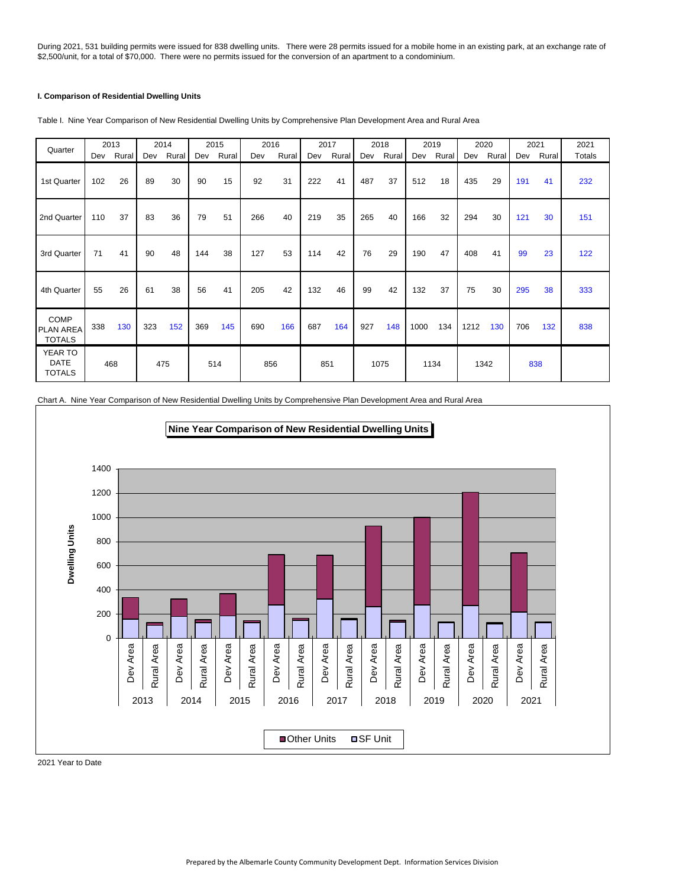During 2021, 531 building permits were issued for 838 dwelling units. There were 28 permits issued for a mobile home in an existing park, at an exchange rate of \$2,500/unit, for a total of \$70,000. There were no permits issued for the conversion of an apartment to a condominium.

## **I. Comparison of Residential Dwelling Units**

| Quarter                                          |     | 2013  |     | 2014  |     | 2015      | 2016 |       |     | 2017  |     | 2018  |      | 2019  |      | 2020  |     | 2021  | 2021   |
|--------------------------------------------------|-----|-------|-----|-------|-----|-----------|------|-------|-----|-------|-----|-------|------|-------|------|-------|-----|-------|--------|
|                                                  | Dev | Rural | Dev | Rural |     | Dev Rural | Dev  | Rural | Dev | Rural | Dev | Rural | Dev  | Rural | Dev  | Rural | Dev | Rural | Totals |
| 1st Quarter                                      | 102 | 26    | 89  | 30    | 90  | 15        | 92   | 31    | 222 | 41    | 487 | 37    | 512  | 18    | 435  | 29    | 191 | 41    | 232    |
| 2nd Quarter                                      | 110 | 37    | 83  | 36    | 79  | 51        | 266  | 40    | 219 | 35    | 265 | 40    | 166  | 32    | 294  | 30    | 121 | 30    | 151    |
| 3rd Quarter                                      | 71  | 41    | 90  | 48    | 144 | 38        | 127  | 53    | 114 | 42    | 76  | 29    | 190  | 47    | 408  | 41    | 99  | 23    | 122    |
| 4th Quarter                                      | 55  | 26    | 61  | 38    | 56  | 41        | 205  | 42    | 132 | 46    | 99  | 42    | 132  | 37    | 75   | 30    | 295 | 38    | 333    |
| <b>COMP</b><br><b>PLAN AREA</b><br><b>TOTALS</b> | 338 | 130   | 323 | 152   | 369 | 145       | 690  | 166   | 687 | 164   | 927 | 148   | 1000 | 134   | 1212 | 130   | 706 | 132   | 838    |
| YEAR TO<br><b>DATE</b><br><b>TOTALS</b>          |     | 468   |     | 475   |     | 514       | 856  |       |     | 851   |     | 1075  |      | 1134  |      | 1342  |     | 838   |        |

Table I. Nine Year Comparison of New Residential Dwelling Units by Comprehensive Plan Development Area and Rural Area

Chart A. Nine Year Comparison of New Residential Dwelling Units by Comprehensive Plan Development Area and Rural Area



2021 Year to Date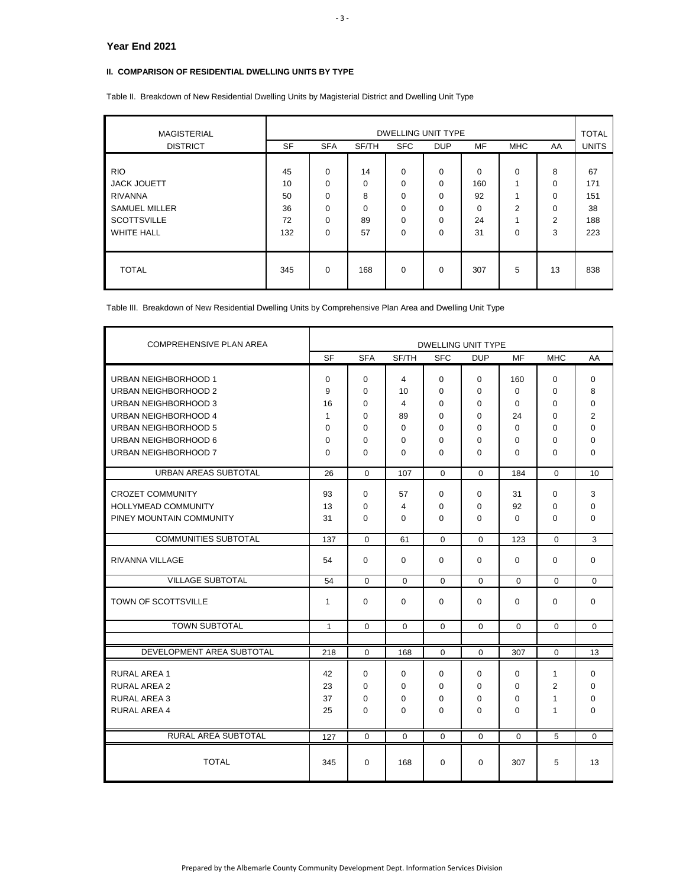## **II. COMPARISON OF RESIDENTIAL DWELLING UNITS BY TYPE**

Table II. Breakdown of New Residential Dwelling Units by Magisterial District and Dwelling Unit Type

| <b>MAGISTERIAL</b>   | <b>DWELLING UNIT TYPE</b> |            |          |            |             |     |                         |                |              |  |
|----------------------|---------------------------|------------|----------|------------|-------------|-----|-------------------------|----------------|--------------|--|
| <b>DISTRICT</b>      | <b>SF</b>                 | <b>SFA</b> | SF/TH    | <b>SFC</b> | <b>DUP</b>  | MF  | <b>MHC</b>              | AA             | <b>UNITS</b> |  |
| <b>RIO</b>           | 45                        | $\Omega$   | 14       | 0          | 0           | 0   | $\Omega$                | 8              | 67           |  |
| <b>JACK JOUETT</b>   | 10                        | $\Omega$   | 0        | 0          | $\mathbf 0$ | 160 | $\overline{ }$          | 0              | 171          |  |
| <b>RIVANNA</b>       | 50                        | $\Omega$   | 8        | $\Omega$   | $\Omega$    | 92  | $\overline{\mathbf{A}}$ | 0              | 151          |  |
| <b>SAMUEL MILLER</b> | 36                        | $\Omega$   | $\Omega$ | $\Omega$   | $\Omega$    | 0   | 2                       | 0              | 38           |  |
| <b>SCOTTSVILLE</b>   | 72                        | $\Omega$   | 89       | 0          | $\mathbf 0$ | 24  | 4                       | $\overline{2}$ | 188          |  |
| <b>WHITE HALL</b>    | 132                       | $\Omega$   | 57       | $\Omega$   | $\Omega$    | 31  | 0                       | 3              | 223          |  |
| <b>TOTAL</b>         | 345                       | $\Omega$   | 168      | $\Omega$   | $\Omega$    | 307 | 5                       | 13             | 838          |  |

Table III. Breakdown of New Residential Dwelling Units by Comprehensive Plan Area and Dwelling Unit Type

| COMPREHENSIVE PLAN AREA                      |              |             |          | <b>DWELLING UNIT TYPE</b> |                      |                      |                |                |
|----------------------------------------------|--------------|-------------|----------|---------------------------|----------------------|----------------------|----------------|----------------|
|                                              | <b>SF</b>    | <b>SFA</b>  | SF/TH    | <b>SFC</b>                | <b>DUP</b>           | MF                   | <b>MHC</b>     | AA             |
| URBAN NEIGHBORHOOD 1                         | 0<br>9       | 0           | 4        | 0                         | 0                    | 160                  | 0              | 0              |
| URBAN NEIGHBORHOOD 2<br>URBAN NEIGHBORHOOD 3 | 16           | 0<br>0      | 10<br>4  | $\Omega$<br>$\Omega$      | $\Omega$<br>$\Omega$ | $\Omega$<br>$\Omega$ | 0<br>0         | 8<br>$\Omega$  |
| URBAN NEIGHBORHOOD 4                         | 1            | 0           | 89       | $\Omega$                  | $\Omega$             | 24                   | 0              | $\overline{2}$ |
| URBAN NEIGHBORHOOD 5                         | 0            | 0           | 0        | $\Omega$                  | 0                    | 0                    | 0              | $\Omega$       |
| URBAN NEIGHBORHOOD 6                         | $\Omega$     | 0           | 0        | $\Omega$                  | 0                    | 0                    | 0              | $\Omega$       |
| URBAN NEIGHBORHOOD 7                         | $\Omega$     | 0           | $\Omega$ | $\Omega$                  | $\Omega$             | $\Omega$             | 0              | $\Omega$       |
| URBAN AREAS SUBTOTAL                         | 26           | $\Omega$    | 107      | $\Omega$                  | $\Omega$             | 184                  | $\Omega$       | 10             |
| <b>CROZET COMMUNITY</b>                      | 93           | 0           | 57       | 0                         | 0                    | 31                   | 0              | 3              |
| <b>HOLLYMEAD COMMUNITY</b>                   | 13           | $\Omega$    | 4        | $\mathbf{0}$              | $\Omega$             | 92                   | 0              | $\Omega$       |
| PINEY MOUNTAIN COMMUNITY                     | 31           | 0           | $\Omega$ | $\Omega$                  | $\Omega$             | $\Omega$             | 0              | $\Omega$       |
| <b>COMMUNITIES SUBTOTAL</b>                  | 137          | $\Omega$    | 61       | $\Omega$                  | $\Omega$             | 123                  | $\Omega$       | 3              |
| RIVANNA VILLAGE                              | 54           | 0           | $\Omega$ | $\Omega$                  | $\Omega$             | $\Omega$             | 0              | $\Omega$       |
| <b>VILLAGE SUBTOTAL</b>                      | 54           | $\Omega$    | $\Omega$ | $\Omega$                  | $\Omega$             | $\Omega$             | $\Omega$       | $\Omega$       |
| TOWN OF SCOTTSVILLE                          | 1            | 0           | $\Omega$ | $\Omega$                  | 0                    | $\Omega$             | 0              | 0              |
| <b>TOWN SUBTOTAL</b>                         | $\mathbf{1}$ | $\Omega$    | $\Omega$ | $\Omega$                  | $\Omega$             | $\Omega$             | $\Omega$       | $\Omega$       |
|                                              |              |             |          |                           |                      |                      |                |                |
| DEVELOPMENT AREA SUBTOTAL                    | 218          | 0           | 168      | 0                         | 0                    | 307                  | 0              | 13             |
| <b>RURAL AREA 1</b>                          | 42           | $\mathbf 0$ | 0        | $\mathbf 0$               | $\Omega$             | 0                    | 1              | $\mathbf 0$    |
| <b>RURAL AREA 2</b>                          | 23           | 0           | 0        | $\Omega$                  | $\mathbf 0$          | 0                    | $\overline{2}$ | $\mathbf 0$    |
| <b>RURAL AREA 3</b>                          | 37           | 0           | 0        | $\mathbf 0$               | 0                    | 0                    | 1              | $\mathbf 0$    |
| <b>RURAL AREA 4</b>                          | 25           | 0           | 0        | $\mathbf 0$               | 0                    | $\Omega$             | 1              | $\mathbf 0$    |
| <b>RURAL AREA SUBTOTAL</b>                   | 127          | $\Omega$    | $\Omega$ | $\Omega$                  | $\Omega$             | $\Omega$             | 5              | $\Omega$       |
| <b>TOTAL</b>                                 | 345          | 0           | 168      | 0                         | 0                    | 307                  | 5              | 13             |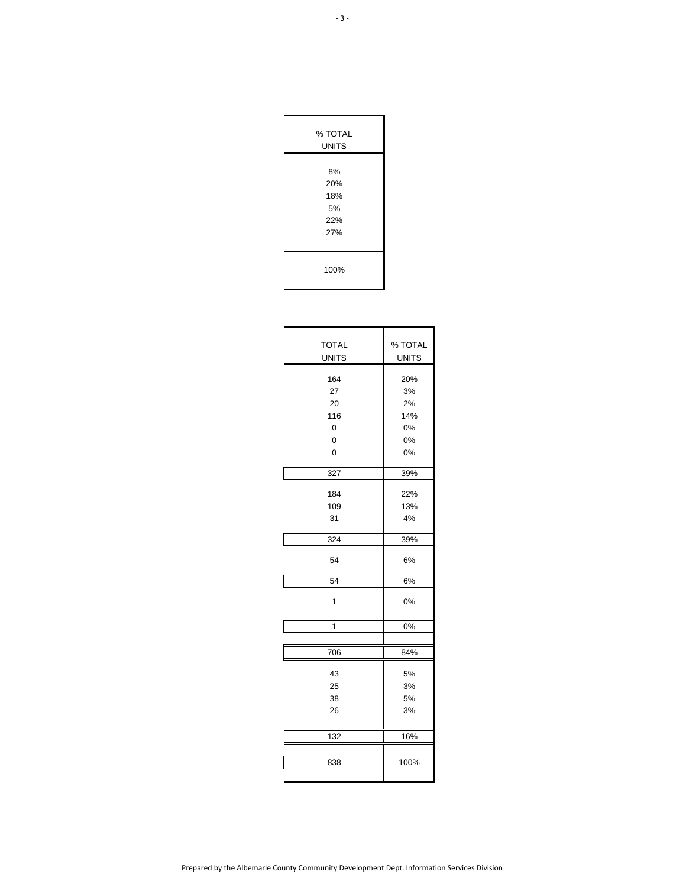| % TOTAL      |  |
|--------------|--|
| <b>UNITS</b> |  |
|              |  |
| 8%           |  |
| 20%          |  |
| 18%          |  |
| 5%           |  |
| 22%          |  |
| 27%          |  |
|              |  |
| 100%         |  |

| <b>TOTAL</b><br><b>UNITS</b>          | % TOTAL<br><b>UNITS</b>                  |
|---------------------------------------|------------------------------------------|
| 164<br>27<br>20<br>116<br>0<br>0<br>0 | 20%<br>3%<br>2%<br>14%<br>0%<br>0%<br>0% |
| 327                                   | 39%                                      |
| 184<br>109<br>31                      | 22%<br>13%<br>4%                         |
| 324                                   | 39%                                      |
| 54                                    | 6%                                       |
| 54                                    | 6%                                       |
| 1                                     | 0%                                       |
| $\overline{1}$                        | 0%                                       |
|                                       |                                          |
| 706                                   | 84%                                      |
| 43<br>25<br>38<br>26                  | 5%<br>3%<br>5%<br>3%                     |
| 132                                   | 16%                                      |
| 838                                   | 100%                                     |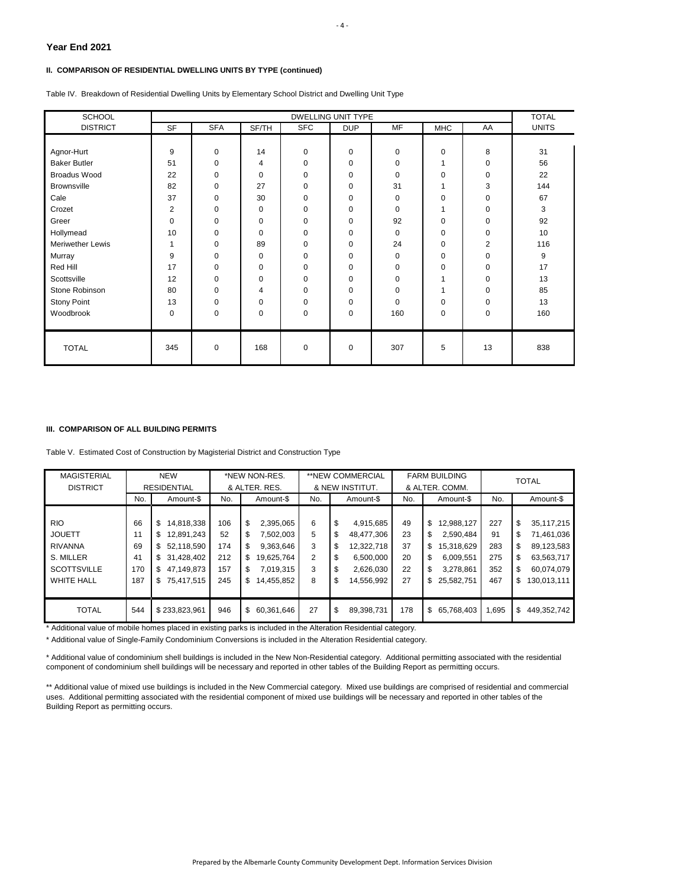## **II. COMPARISON OF RESIDENTIAL DWELLING UNITS BY TYPE (continued)**

Table IV. Breakdown of Residential Dwelling Units by Elementary School District and Dwelling Unit Type

| <b>SCHOOL</b>           |           |             |       |             | <b>DWELLING UNIT TYPE</b> |             |             |             | <b>TOTAL</b> |
|-------------------------|-----------|-------------|-------|-------------|---------------------------|-------------|-------------|-------------|--------------|
| <b>DISTRICT</b>         | <b>SF</b> | <b>SFA</b>  | SF/TH | <b>SFC</b>  | <b>DUP</b>                | <b>MF</b>   | <b>MHC</b>  | AA          | <b>UNITS</b> |
|                         |           |             |       |             |                           |             |             |             |              |
| Agnor-Hurt              | 9         | 0           | 14    | 0           | 0                         | 0           | 0           | 8           | 31           |
| <b>Baker Butler</b>     | 51        | $\mathbf 0$ | 4     | 0           | 0                         | 0           | 1           | 0           | 56           |
| <b>Broadus Wood</b>     | 22        | 0           | 0     | 0           | 0                         | $\mathbf 0$ | $\mathbf 0$ | 0           | 22           |
| <b>Brownsville</b>      | 82        | 0           | 27    | $\mathbf 0$ | $\mathbf 0$               | 31          | 1           | 3           | 144          |
| Cale                    | 37        | 0           | 30    | 0           | 0                         | $\Omega$    | 0           | 0           | 67           |
| Crozet                  | 2         | 0           | 0     | 0           | 0                         | $\mathbf 0$ | 1           | 0           | 3            |
| Greer                   | 0         | $\mathbf 0$ | 0     | $\mathbf 0$ | $\mathbf 0$               | 92          | $\mathbf 0$ | $\mathbf 0$ | 92           |
| Hollymead               | 10        | 0           | 0     | 0           | 0                         | $\Omega$    | 0           | 0           | 10           |
| <b>Meriwether Lewis</b> | 1         | 0           | 89    | $\mathbf 0$ | $\mathbf 0$               | 24          | 0           | 2           | 116          |
| Murray                  | 9         | 0           | 0     | $\mathbf 0$ | $\mathbf 0$               | $\mathbf 0$ | $\mathbf 0$ | $\mathbf 0$ | 9            |
| Red Hill                | 17        | 0           | 0     | 0           | 0                         | 0           | 0           | $\mathbf 0$ | 17           |
| Scottsville             | 12        | 0           | 0     | 0           | 0                         | 0           | 1           | 0           | 13           |
| Stone Robinson          | 80        | 0           | 4     | $\Omega$    | $\mathbf 0$               | $\Omega$    | 1           | $\mathbf 0$ | 85           |
| Stony Point             | 13        | $\mathbf 0$ | 0     | $\mathbf 0$ | $\mathbf 0$               | $\Omega$    | 0           | 0           | 13           |
| Woodbrook               | 0         | $\mathbf 0$ | 0     | 0           | 0                         | 160         | 0           | 0           | 160          |
|                         |           |             |       |             |                           |             |             |             |              |
| <b>TOTAL</b>            | 345       | $\mathbf 0$ | 168   | 0           | 0                         | 307         | 5           | 13          | 838          |

#### **III. COMPARISON OF ALL BUILDING PERMITS**

Table V. Estimated Cost of Construction by Magisterial District and Construction Type

| <b>MAGISTERIAL</b><br><b>DISTRICT</b> |     | <b>NEW</b><br><b>RESIDENTIAL</b> | *NEW NON-RES.<br>& ALTER. RES. |                 |     | **NEW COMMERCIAL<br>& NEW INSTITUT. |     | <b>FARM BUILDING</b><br>& ALTER, COMM. | <b>TOTAL</b> |                   |  |
|---------------------------------------|-----|----------------------------------|--------------------------------|-----------------|-----|-------------------------------------|-----|----------------------------------------|--------------|-------------------|--|
|                                       |     |                                  |                                |                 |     |                                     |     |                                        |              |                   |  |
|                                       | No. | Amount-\$                        | No.                            | Amount-\$       | No. | Amount-\$                           | No. | Amount-\$                              | No.          | Amount-\$         |  |
|                                       |     |                                  |                                |                 |     |                                     |     |                                        |              |                   |  |
| <b>RIO</b>                            | 66  | \$<br>14,818,338                 | 106                            | \$<br>2,395,065 | 6   | \$<br>4,915,685                     | 49  | \$<br>12,988,127                       | 227          | \$<br>35,117,215  |  |
| <b>JOUETT</b>                         | 11  | \$<br>12,891,243                 | 52                             | 7,502,003       | 5   | \$<br>48,477,306                    | 23  | \$<br>2.590.484                        | 91           | 71,461,036<br>\$  |  |
| <b>RIVANNA</b>                        | 69  | \$<br>52.118.590                 | 174                            | 9,363,646       | 3   | 12,322,718<br>\$                    | 37  | \$<br>15,318,629                       | 283          | 89,123,583<br>\$  |  |
| S. MILLER                             | 41  | \$<br>31,428,402                 | 212                            | 19,625,764<br>S | 2   | \$<br>6,500,000                     | 20  | \$<br>6,009,551                        | 275          | \$<br>63,563,717  |  |
| <b>SCOTTSVILLE</b>                    | 170 | \$<br>47,149,873                 | 157                            | 7,019,315<br>S  | 3   | \$<br>2,626,030                     | 22  | \$<br>3,278,861                        | 352          | 60,074,079<br>\$  |  |
| <b>WHITE HALL</b>                     | 187 | \$<br>75,417,515                 | 245                            | 14,455,852<br>S | 8   | 14,556,992<br>\$                    | 27  | \$<br>25,582,751                       | 467          | 130,013,111<br>\$ |  |
|                                       |     |                                  |                                |                 |     |                                     |     |                                        |              |                   |  |
| <b>TOTAL</b>                          | 544 | \$233,823,961                    | 946                            | 60,361,646<br>S | 27  | \$<br>89,398,731                    | 178 | \$<br>65,768,403                       | 1,695        | \$<br>449,352,742 |  |

\* Additional value of mobile homes placed in existing parks is included in the Alteration Residential category.

\* Additional value of Single-Family Condominium Conversions is included in the Alteration Residential category.

\* Additional value of condominium shell buildings is included in the New Non-Residential category. Additional permitting associated with the residential component of condominium shell buildings will be necessary and reported in other tables of the Building Report as permitting occurs.

\*\* Additional value of mixed use buildings is included in the New Commercial category. Mixed use buildings are comprised of residential and commercial uses. Additional permitting associated with the residential component of mixed use buildings will be necessary and reported in other tables of the Building Report as permitting occurs.